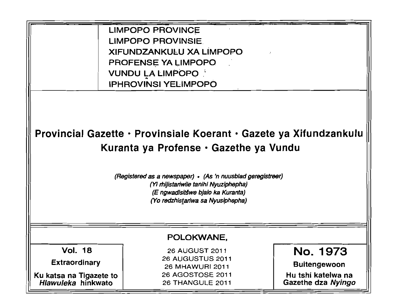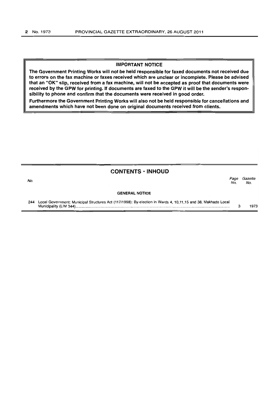## IMPORTANT NOTICE

The Government Printing Works will not be held responsible for faxed documents not received due to errors on the fax machine or faxes received which are unclear or incomplete. Please be advised that an "OK" slip, received from a fax machine, will not be accepted as proof that documents were received by the GPW for printing. If documents are faxed to the GPW it will be the sender's responsibility to phone and confirm that the documents were received in good order.

Furthermore the Government Printing Works will also not be held responsible for cancellations and amendments which have not been done on original documents received from clients.

|     | <b>CONTENTS · INHOUD</b>                                                                                                                |             |                |
|-----|-----------------------------------------------------------------------------------------------------------------------------------------|-------------|----------------|
| No. |                                                                                                                                         | Page<br>No. | Gazette<br>No. |
|     | <b>GENERAL NOTICE</b>                                                                                                                   |             |                |
| 244 | Local Government: Municipal Structures Act (117/1998): By-election in Wards 4, 10,11,15 and 38, Makhado Local<br>Municipality (LIM 344) |             | 1973           |